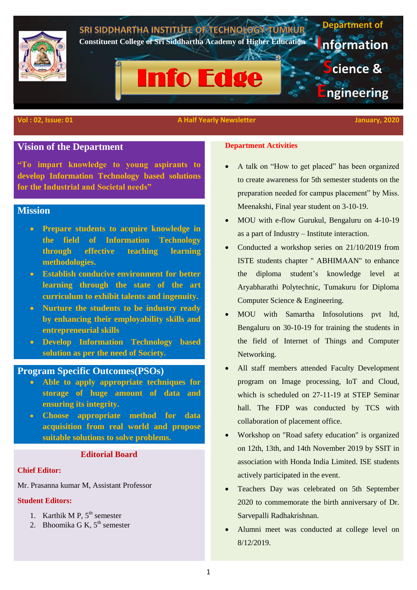

#### **Vol : 02, Issue: 01** A Half Yearly Newsletter January, 2020

# **Vision of the Department**

**"To impart knowledge to young aspirants to develop Information Technology based solutions for the Industrial and Societal needs"**

# **Mission**

- **Prepare students to acquire knowledge in the field of Information Technology through effective teaching learning methodologies.**
- **Establish conducive environment for better learning through the state of the art curriculum to exhibit talents and ingenuity.**
- **Nurture the students to be industry ready by enhancing their employability skills and entrepreneurial skills**
- **Develop Information Technology based solution as per the need of Society.**

# **Program Specific Outcomes(PSOs)**

- **Able to apply appropriate techniques for storage of huge amount of data and ensuring its integrity.**
- **Choose appropriate method for data acquisition from real world and propose suitable solutions to solve problems.**

## **Editorial Board**

#### **Chief Editor:**

Mr. Prasanna kumar M, Assistant Professor

#### **Student Editors:**

- 1. Karthik M P,  $5^{th}$  semester
- 2. Bhoomika G K,  $5^{\text{th}}$  semester

### **Department Activities**

- A talk on "How to get placed" has been organized to create awareness for 5th semester students on the preparation needed for campus placement" by Miss. Meenakshi, Final year student on 3-10-19.
- MOU with e-flow Gurukul, Bengaluru on 4-10-19 as a part of Industry – Institute interaction.
- Conducted a workshop series on 21/10/2019 from ISTE students chapter " ABHIMAAN" to enhance the diploma student's knowledge level at Aryabharathi Polytechnic, Tumakuru for Diploma Computer Science & Engineering.
- MOU with Samartha Infosolutions pvt ltd, Bengaluru on 30-10-19 for training the students in the field of Internet of Things and Computer Networking.
- All staff members attended Faculty Development program on Image processing, IoT and Cloud, which is scheduled on 27-11-19 at STEP Seminar hall. The FDP was conducted by TCS with collaboration of placement office.
- Workshop on "Road safety education" is organized on 12th, 13th, and 14th November 2019 by SSIT in association with Honda India Limited. ISE students actively participated in the event.
- Teachers Day was celebrated on 5th September 2020 to commemorate the birth anniversary of Dr. Sarvepalli Radhakrishnan.
- Alumni meet was conducted at college level on 8/12/2019.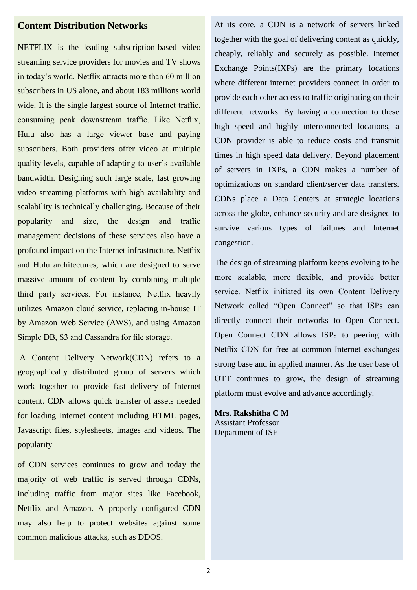# **Content Distribution Networks**

NETFLIX is the leading subscription-based video streaming service providers for movies and TV shows in today's world. Netflix attracts more than 60 million subscribers in US alone, and about 183 millions world wide. It is the single largest source of Internet traffic, consuming peak downstream traffic. Like Netflix, Hulu also has a large viewer base and paying subscribers. Both providers offer video at multiple quality levels, capable of adapting to user's available bandwidth. Designing such large scale, fast growing video streaming platforms with high availability and scalability is technically challenging. Because of their popularity and size, the design and traffic management decisions of these services also have a profound impact on the Internet infrastructure. Netflix and Hulu architectures, which are designed to serve massive amount of content by combining multiple third party services. For instance, Netflix heavily utilizes Amazon cloud service, replacing in-house IT by Amazon Web Service (AWS), and using Amazon Simple DB, S3 and Cassandra for file storage.

A Content Delivery Network(CDN) refers to a geographically distributed group of servers which work together to provide fast delivery of Internet content. CDN allows quick transfer of assets needed for loading Internet content including HTML pages, Javascript files, stylesheets, images and videos. The popularity

of CDN services continues to grow and today the majority of web traffic is served through CDNs, including traffic from major sites like Facebook, Netflix and Amazon. A properly configured CDN may also help to protect websites against some common malicious attacks, such as DDOS.

At its core, a CDN is a network of servers linked together with the goal of delivering content as quickly, cheaply, reliably and securely as possible. Internet Exchange Points(IXPs) are the primary locations where different internet providers connect in order to provide each other access to traffic originating on their different networks. By having a connection to these high speed and highly interconnected locations, a CDN provider is able to reduce costs and transmit times in high speed data delivery. Beyond placement of servers in IXPs, a CDN makes a number of optimizations on standard client/server data transfers. CDNs place a Data Centers at strategic locations across the globe, enhance security and are designed to survive various types of failures and Internet congestion.

The design of streaming platform keeps evolving to be more scalable, more flexible, and provide better service. Netflix initiated its own Content Delivery Network called "Open Connect" so that ISPs can directly connect their networks to Open Connect. Open Connect CDN allows ISPs to peering with Netflix CDN for free at common Internet exchanges strong base and in applied manner. As the user base of OTT continues to grow, the design of streaming platform must evolve and advance accordingly.

**Mrs. Rakshitha C M** Assistant Professor Department of ISE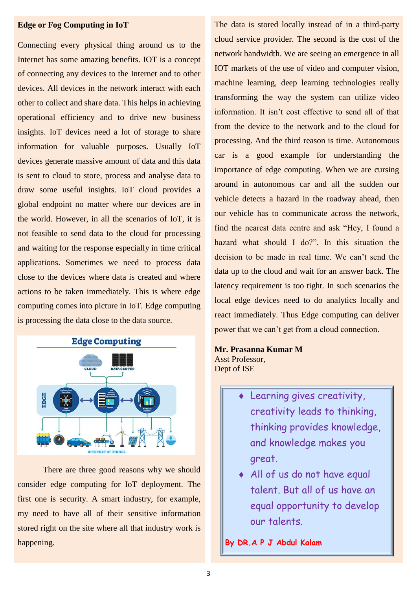#### **Edge or Fog Computing in IoT**

Connecting every physical thing around us to the Internet has some amazing benefits. IOT is a concept of connecting any devices to the Internet and to other devices. All devices in the network interact with each other to collect and share data. This helps in achieving operational efficiency and to drive new business insights. IoT devices need a lot of storage to share information for valuable purposes. Usually IoT devices generate massive amount of data and this data is sent to cloud to store, process and analyse data to draw some useful insights. IoT cloud provides a global endpoint no matter where our devices are in the world. However, in all the scenarios of IoT, it is not feasible to send data to the cloud for processing and waiting for the response especially in time critical applications. Sometimes we need to process data close to the devices where data is created and where actions to be taken immediately. This is where edge computing comes into picture in IoT. Edge computing is processing the data close to the data source.



There are three good reasons why we should consider edge computing for IoT deployment. The first one is security. A smart industry, for example, my need to have all of their sensitive information stored right on the site where all that industry work is happening.

The data is stored locally instead of in a third-party cloud service provider. The second is the cost of the network bandwidth. We are seeing an emergence in all IOT markets of the use of video and computer vision, machine learning, deep learning technologies really transforming the way the system can utilize video information. It isn't cost effective to send all of that from the device to the network and to the cloud for processing. And the third reason is time. Autonomous car is a good example for understanding the importance of edge computing. When we are cursing around in autonomous car and all the sudden our vehicle detects a hazard in the roadway ahead, then our vehicle has to communicate across the network, find the nearest data centre and ask "Hey, I found a hazard what should I do?". In this situation the decision to be made in real time. We can't send the data up to the cloud and wait for an answer back. The latency requirement is too tight. In such scenarios the local edge devices need to do analytics locally and react immediately. Thus Edge computing can deliver power that we can't get from a cloud connection.

### **Mr. Prasanna Kumar M** Asst Professor, Dept of ISE

- Learning gives creativity, creativity leads to thinking, thinking provides knowledge, and knowledge makes you great.
- All of us do not have equal talent. But all of us have an equal opportunity to develop our talents.

# **By DR.A P J Abdul Kalam**